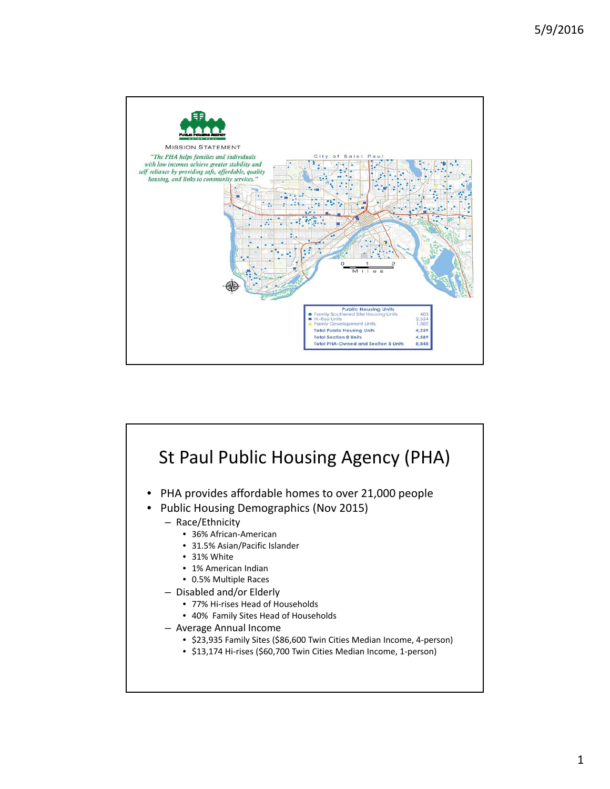

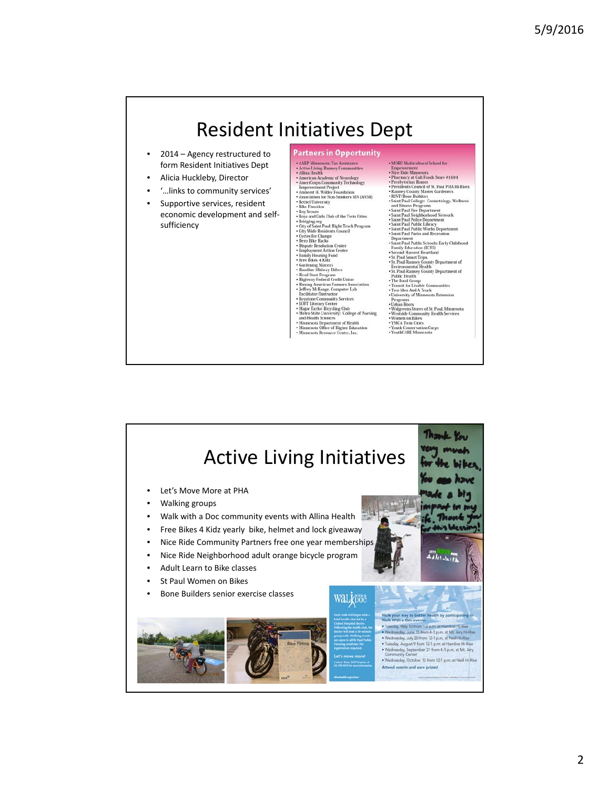## Resident Initiatives Dept **Partners in Opportunity** • 2014 – Agency restructured to  $\begin{tabular}{p{0.875\textwidth}} \textbf{+ MORE Multicultural School for}\\ \textbf{Enopowerment} \\ \textbf{+ Nice Random method \\ \textbf{+} Probsterity \\ \textbf{+} Probeterity \\ \textbf{+} Probeterity \\ \textbf{+} Probeterity \\ \textbf{+} Probderity \\ \textbf{+} NNeFjone {\it Dull of St. Paul PHA He Rises} \\ \textbf{+} NNeFjone {\it Dull of St. Paul PHA He Rises} \\ \textbf{+} NNeFjone {\it Dull of } C. \\ \textbf{+} NNeFjone {\it Dull of } C. \\ \textbf{+} NNeFjone {\it Dull of } C. \\ \textbf$ \* AARP Minnesota: Tax Assistance<br>\* Active Living Ramsey Communities<br>\* Allina Health form Resident Initiatives Dept \* Allina Health<br>
\* American Academy of Neurology<br>
\* American Academy of Neurology<br>
\* Empowerment Project<br>
\* Empowerment Project<br>
\* Association for Non-Smokers MN (ANSR)<br>
\* Association for Non-Smokers MN (ANSR)<br>
\* Bele Flot • Alicia Huckleby, Director • '…links to community services' Supportive services, resident • Bike Fixtation<br>• Boy Scouts<br>• Boys and Girls Club of the Twin Cities<br>• Bridging.org<br>• City of Saint Paul: Right Track Program<br>• Cycles for Change<br>• Dero Bike Racks<br>• Dero Bike Racks<br>• Dero Bike Racks economic development and self‐ sufficiency - Saint Paul Public Works Department<br>
- Saint Paul Public Works Department<br>
- Saint Paul Public Schools: Early Childhood<br>
Department Public Schools: Early Childhood<br>
- Family Education (ECFE)<br>
- Saccord Harvest Heartland<br>  $\epsilon$  Qcles for Change<br>and the state of the states of the Reads of the Reads of the Septen<br>term of the state of the state of the state of the state<br>of the state of the state of the state of the state of the state<br>of the st

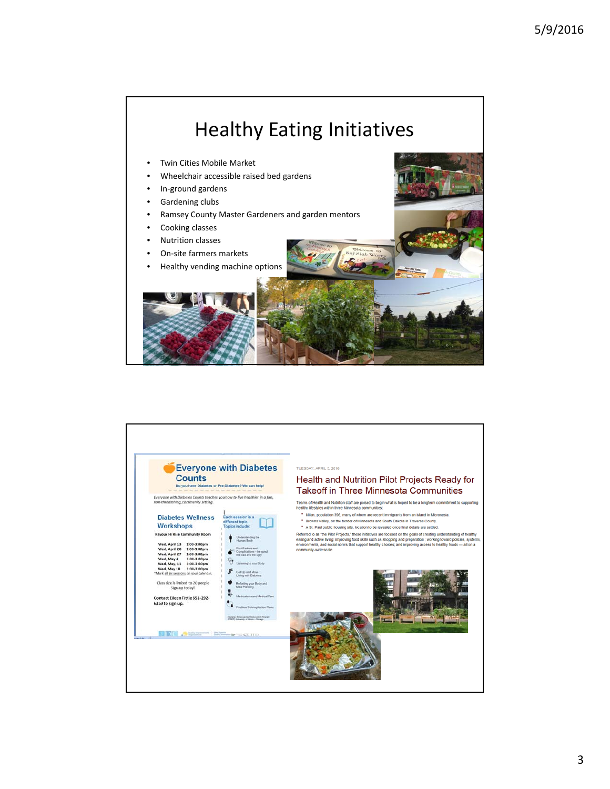